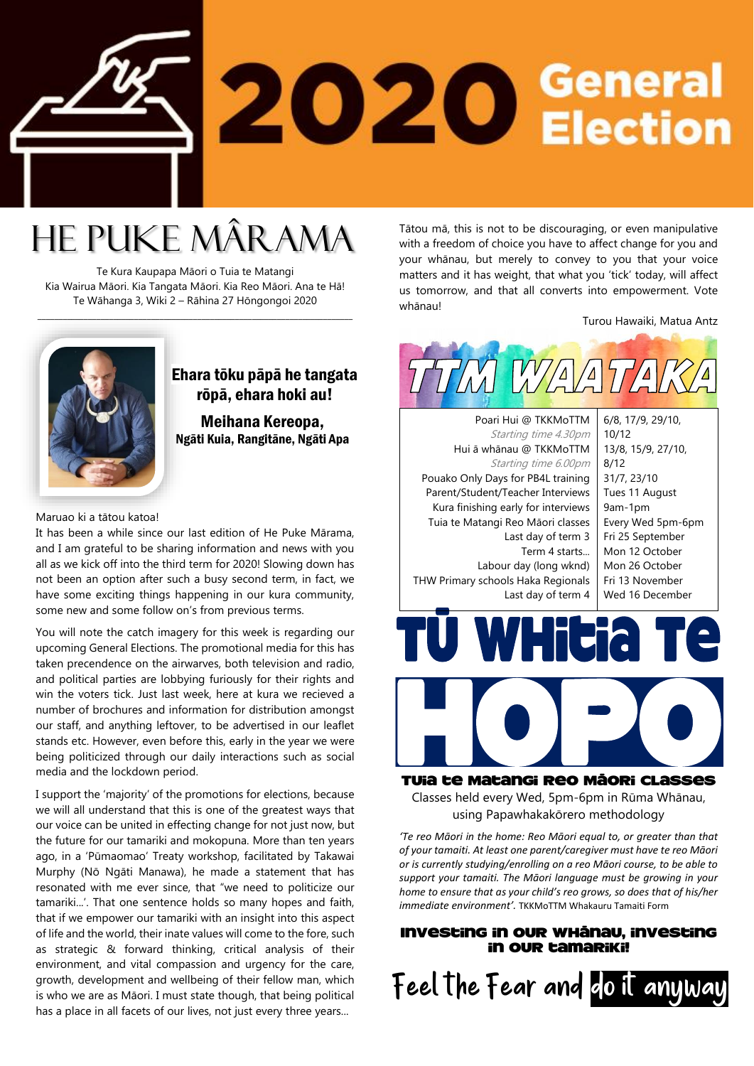

## He Puke Mârama

Te Kura Kaupapa Māori o Tuia te Matangi Kia Wairua Māori. Kia Tangata Māori. Kia Reo Māori. Ana te Hā! Te Wāhanga 3, Wiki 2 – Rāhina 27 Hōngongoi 2020

\_\_\_\_\_\_\_\_\_\_\_\_\_\_\_\_\_\_\_\_\_\_\_\_\_\_\_\_\_\_\_\_\_\_\_\_\_\_\_\_\_\_\_\_\_\_\_\_\_\_\_\_\_\_\_\_\_\_\_\_\_\_\_\_\_\_\_\_\_\_\_\_\_\_\_

### Ehara tōku pāpā he tangata rōpā, ehara hoki au!

Meihana Kereopa, Ngāti Kuia, Rangitāne, Ngāti Apa

Maruao ki a tātou katoa!

It has been a while since our last edition of He Puke Mārama, and I am grateful to be sharing information and news with you all as we kick off into the third term for 2020! Slowing down has not been an option after such a busy second term, in fact, we have some exciting things happening in our kura community, some new and some follow on's from previous terms.

You will note the catch imagery for this week is regarding our upcoming General Elections. The promotional media for this has taken precendence on the airwarves, both television and radio, and political parties are lobbying furiously for their rights and win the voters tick. Just last week, here at kura we recieved a number of brochures and information for distribution amongst our staff, and anything leftover, to be advertised in our leaflet stands etc. However, even before this, early in the year we were being politicized through our daily interactions such as social media and the lockdown period.

I support the 'majority' of the promotions for elections, because we will all understand that this is one of the greatest ways that our voice can be united in effecting change for not just now, but the future for our tamariki and mokopuna. More than ten years ago, in a 'Pūmaomao' Treaty workshop, facilitated by Takawai Murphy (Nō Ngāti Manawa), he made a statement that has resonated with me ever since, that "we need to politicize our tamariki...'. That one sentence holds so many hopes and faith, that if we empower our tamariki with an insight into this aspect of life and the world, their inate values will come to the fore, such as strategic & forward thinking, critical analysis of their environment, and vital compassion and urgency for the care, growth, development and wellbeing of their fellow man, which is who we are as Māori. I must state though, that being political has a place in all facets of our lives, not just every three years...

Tātou mā, this is not to be discouraging, or even manipulative with a freedom of choice you have to affect change for you and your whānau, but merely to convey to you that your voice matters and it has weight, that what you 'tick' today, will affect us tomorrow, and that all converts into empowerment. Vote whānau!

Turou Hawaiki, Matua Antz



Term 4 starts... Labour day (long wknd) THW Primary schools Haka Regionals Last day of term 4 Mon 12 October Mon 26 October Fri 13 November Wed 16 December



Tuia te Matangi Reo Māori Classes Classes held every Wed, 5pm-6pm in Rūma Whānau, using Papawhakakōrero methodology

*'Te reo Māori in the home: Reo Māori equal to, or greater than that of your tamaiti. At least one parent/caregiver must have te reo Māori or is currently studying/enrolling on a reo Māori course, to be able to support your tamaiti. The Māori language must be growing in your home to ensure that as your child's reo grows, so does that of his/her immediate environment'.* TKKMoTTM Whakauru Tamaiti Form

### Investing in our whānau, investing in our tamariki!

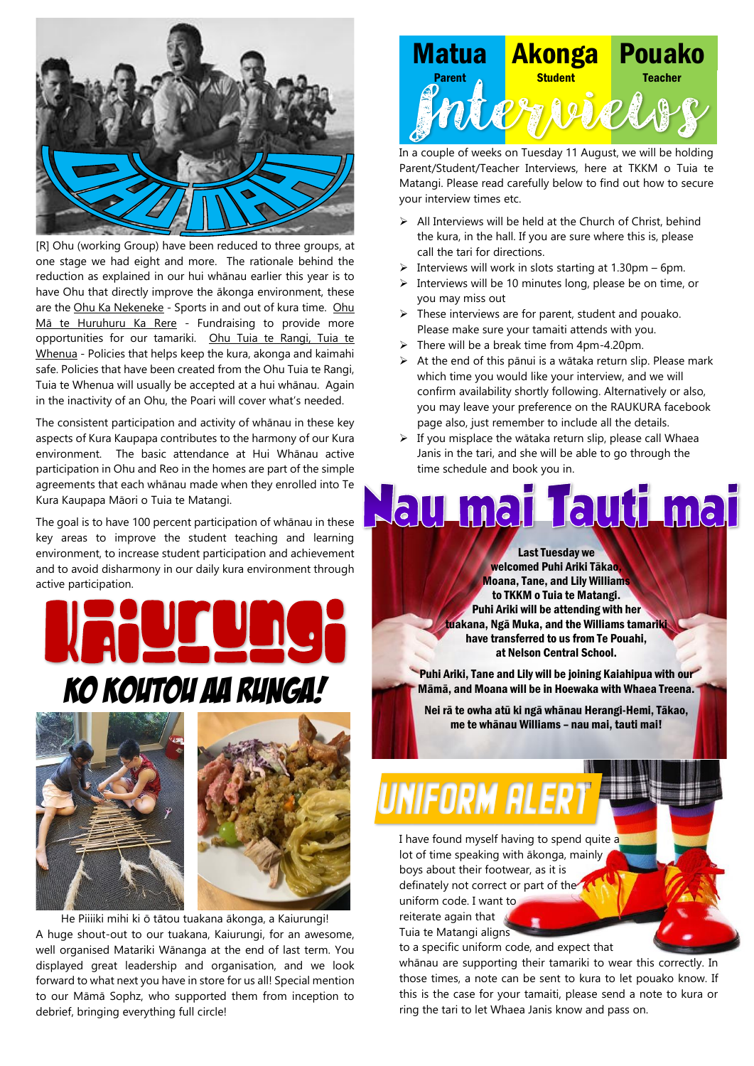

[R] Ohu (working Group) have been reduced to three groups, at one stage we had eight and more. The rationale behind the reduction as explained in our hui whānau earlier this year is to have Ohu that directly improve the ākonga environment, these are the Ohu Ka Nekeneke - Sports in and out of kura time. Ohu Mā te Huruhuru Ka Rere - Fundraising to provide more opportunities for our tamariki. Ohu Tuia te Rangi, Tuia te Whenua - Policies that helps keep the kura, akonga and kaimahi safe. Policies that have been created from the Ohu Tuia te Rangi, Tuia te Whenua will usually be accepted at a hui whānau. Again in the inactivity of an Ohu, the Poari will cover what's needed.

The consistent participation and activity of whānau in these key aspects of Kura Kaupapa contributes to the harmony of our Kura environment. The basic attendance at Hui Whānau active participation in Ohu and Reo in the homes are part of the simple agreements that each whānau made when they enrolled into Te Kura Kaupapa Māori o Tuia te Matangi.

The goal is to have 100 percent participation of whānau in these key areas to improve the student teaching and learning environment, to increase student participation and achievement and to avoid disharmony in our daily kura environment through active participation.







He Piiiiki mihi ki ō tātou tuakana ākonga, a Kaiurungi! A huge shout-out to our tuakana, Kaiurungi, for an awesome, well organised Matariki Wānanga at the end of last term. You displayed great leadership and organisation, and we look forward to what next you have in store for us all! Special mention to our Māmā Sophz, who supported them from inception to debrief, bringing everything full circle!



In a couple of weeks on Tuesday 11 August, we will be holding Parent/Student/Teacher Interviews, here at TKKM o Tuia te Matangi. Please read carefully below to find out how to secure your interview times etc.

- $\triangleright$  All Interviews will be held at the Church of Christ, behind the kura, in the hall. If you are sure where this is, please call the tari for directions.
- $\triangleright$  Interviews will work in slots starting at 1.30pm 6pm.
- ➢ Interviews will be 10 minutes long, please be on time, or you may miss out
- ➢ These interviews are for parent, student and pouako. Please make sure your tamaiti attends with you.
- ➢ There will be a break time from 4pm-4.20pm.
- ➢ At the end of this pānui is a wātaka return slip. Please mark which time you would like your interview, and we will confirm availability shortly following. Alternatively or also, you may leave your preference on the RAUKURA facebook page also, just remember to include all the details.
- ➢ If you misplace the wātaka return slip, please call Whaea Janis in the tari, and she will be able to go through the time schedule and book you in.

# lau mai Tauti mai

Last Tuesday we welcomed Puhi Ariki Tākao, Moana, Tane, and Lily Williams to TKKM o Tuia te Matangi. Puhi Ariki will be attending with her tuakana, Ngā Muka, and the Williams tamariki have transferred to us from Te Pouahi, at Nelson Central School.

Puhi Ariki, Tane and Lily will be joining Kaiahipua with our Māmā, and Moana will be in Hoewaka with Whaea Treena.

Nei rā te owha atū ki ngā whānau Herangi-Hemi, Tākao, me te whānau Williams – nau mai, tauti mai!

# UNIFORM ALER

I have found myself having to spend quite a lot of time speaking with ākonga, mainly boys about their footwear, as it is definately not correct or part of the uniform code. I want to reiterate again that

Tuia te Matangi aligns

to a specific uniform code, and expect that

whānau are supporting their tamariki to wear this correctly. In those times, a note can be sent to kura to let pouako know. If this is the case for your tamaiti, please send a note to kura or ring the tari to let Whaea Janis know and pass on.